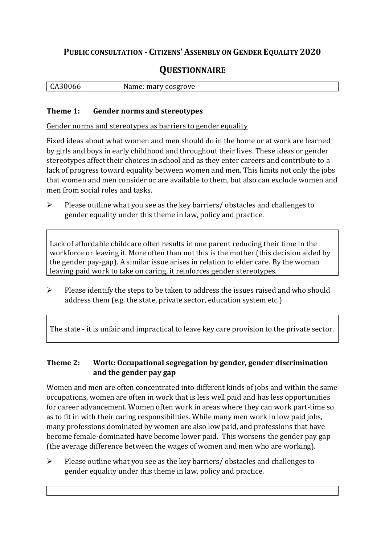## **PUBLIC CONSULTATION - CITIZENS' ASSEMBLY ON GENDER EQUALITY 2020**

# **QUESTIONNAIRE**

|  | CA30066 | Name: mary cosgrove |
|--|---------|---------------------|
|--|---------|---------------------|

#### **Theme 1: Gender norms and stereotypes**

Gender norms and stereotypes as barriers to gender equality

Fixed ideas about what women and men should do in the home or at work are learned by girls and boys in early childhood and throughout their lives. These ideas or gender stereotypes affect their choices in school and as they enter careers and contribute to a lack of progress toward equality between women and men. This limits not only the jobs that women and men consider or are available to them, but also can exclude women and men from social roles and tasks.

➢ Please outline what you see as the key barriers/ obstacles and challenges to gender equality under this theme in law, policy and practice.

Lack of affordable childcare often results in one parent reducing their time in the workforce or leaving it. More often than not this is the mother (this decision aided by the gender pay-gap). A similar issue arises in relation to elder care. By the woman leaving paid work to take on caring, it reinforces gender stereotypes.

➢ Please identify the steps to be taken to address the issues raised and who should address them (e.g. the state, private sector, education system etc.)

The state - it is unfair and impractical to leave key care provision to the private sector.

#### **Theme 2: Work: Occupational segregation by gender, gender discrimination and the gender pay gap**

Women and men are often concentrated into different kinds of jobs and within the same occupations, women are often in work that is less well paid and has less opportunities for career advancement. Women often work in areas where they can work part-time so as to fit in with their caring responsibilities. While many men work in low paid jobs, many professions dominated by women are also low paid, and professions that have become female-dominated have become lower paid. This worsens the gender pay gap (the average difference between the wages of women and men who are working).

➢ Please outline what you see as the key barriers/ obstacles and challenges to gender equality under this theme in law, policy and practice.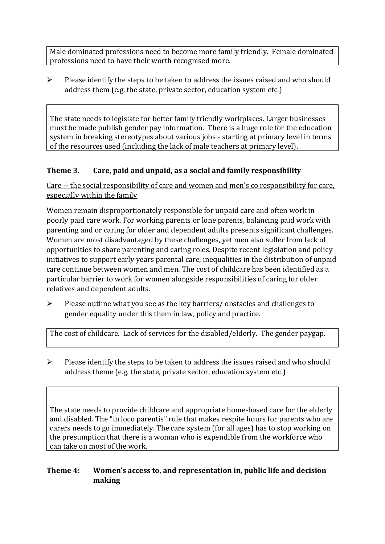Male dominated professions need to become more family friendly. Female dominated professions need to have their worth recognised more.

➢ Please identify the steps to be taken to address the issues raised and who should address them (e.g. the state, private sector, education system etc.)

The state needs to legislate for better family friendly workplaces. Larger businesses must be made publish gender pay information. There is a huge role for the education system in breaking stereotypes about various jobs - starting at primary level in terms of the resources used (including the lack of male teachers at primary level).

## **Theme 3. Care, paid and unpaid, as a social and family responsibility**

Care -- the social responsibility of care and women and men's co responsibility for care, especially within the family

Women remain disproportionately responsible for unpaid care and often work in poorly paid care work. For working parents or [lone parents,](https://aran.library.nuigalway.ie/bitstream/handle/10379/6044/Millar_and_Crosse_Activation_Report.pdf?sequence=1&isAllowed=y) balancing paid work with parenting and or caring for older and dependent adults presents significant challenges. Women are [most disadvantaged by these challenges,](https://eige.europa.eu/gender-equality-index/game/IE/W) yet men also suffer from lack of opportunities to share parenting and caring roles. Despite recent legislation and policy initiatives to support early years parental care, [inequalities in the distribution of unpaid](https://www.ihrec.ie/app/uploads/2019/07/Caring-and-Unpaid-Work-in-Ireland_Final.pdf)  [care](https://www.ihrec.ie/app/uploads/2019/07/Caring-and-Unpaid-Work-in-Ireland_Final.pdf) continue between women and men. The cost of childcare has been identified as a particular barrier to work for women alongside responsibilities of caring for older relatives and dependent adults.

➢ Please outline what you see as the key barriers/ obstacles and challenges to gender equality under this them in law, policy and practice.

The cost of childcare. Lack of services for the disabled/elderly. The gender paygap.

 $\triangleright$  Please identify the steps to be taken to address the issues raised and who should address theme (e.g. the state, private sector, education system etc.)

The state needs to provide childcare and appropriate home-based care for the elderly and disabled. The "in loco parentis" rule that makes respite hours for parents who are carers needs to go immediately. The care system (for all ages) has to stop working on the presumption that there is a woman who is expendible from the workforce who can take on most of the work.

## **Theme 4: Women's access to, and representation in, public life and decision making**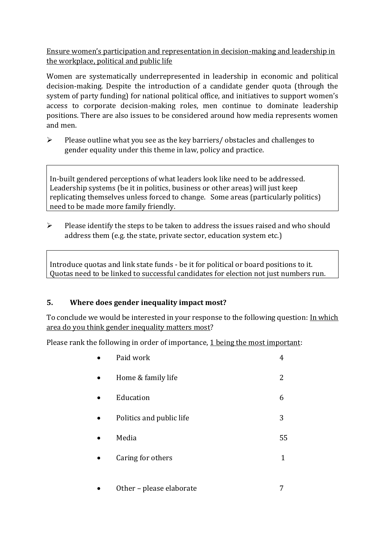Ensure women's participation and representation in decision-making and leadership in the workplace, political and public life

Women are systematically underrepresented in leadership in [economic](https://eige.europa.eu/gender-equality-index/2019/compare-countries/power/2/bar) and [political](https://eige.europa.eu/gender-equality-index/2019/compare-countries/power/1/bar)  [decision-](https://eige.europa.eu/gender-equality-index/2019/compare-countries/power/1/bar)making. Despite the introduction of a candidate gender quota (through the system of party funding) for national political office, and [initiatives](https://betterbalance.ie/) to support women's access to corporate decision-making roles, men continue to dominate leadership positions. There are also issues to be considered around how media represents women and men.

➢ Please outline what you see as the key barriers/ obstacles and challenges to gender equality under this theme in law, policy and practice.

In-built gendered perceptions of what leaders look like need to be addressed. Leadership systems (be it in politics, business or other areas) will just keep replicating themselves unless forced to change. Some areas (particularly politics) need to be made more family friendly.

➢ Please identify the steps to be taken to address the issues raised and who should address them (e.g. the state, private sector, education system etc.)

Introduce quotas and link state funds - be it for political or board positions to it. Quotas need to be linked to successful candidates for election not just numbers run.

## **5. Where does gender inequality impact most?**

To conclude we would be interested in your response to the following question: In which area do you think gender inequality matters most?

Please rank the following in order of importance, 1 being the most important:

| Paid work                | 4  |
|--------------------------|----|
| Home & family life       | 2  |
| Education                | 6  |
| Politics and public life | 3  |
| Media                    | 55 |
| Caring for others        | 1  |
| Other - please elaborate |    |